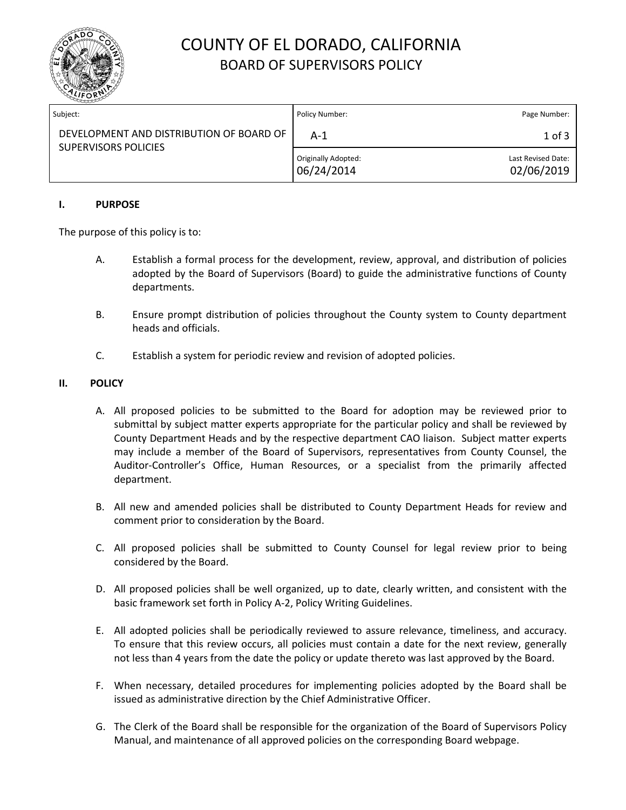

# COUNTY OF EL DORADO, CALIFORNIA BOARD OF SUPERVISORS POLICY

| Subject:                                                                | Policy Number:                    | Page Number:                     |
|-------------------------------------------------------------------------|-----------------------------------|----------------------------------|
| DEVELOPMENT AND DISTRIBUTION OF BOARD OF<br><b>SUPERVISORS POLICIES</b> | A-1                               | $1$ of $3$                       |
|                                                                         | Originally Adopted:<br>06/24/2014 | Last Revised Date:<br>02/06/2019 |

## **I. PURPOSE**

The purpose of this policy is to:

- A. Establish a formal process for the development, review, approval, and distribution of policies adopted by the Board of Supervisors (Board) to guide the administrative functions of County departments.
- B. Ensure prompt distribution of policies throughout the County system to County department heads and officials.
- C. Establish a system for periodic review and revision of adopted policies.

## **II. POLICY**

- A. All proposed policies to be submitted to the Board for adoption may be reviewed prior to submittal by subject matter experts appropriate for the particular policy and shall be reviewed by County Department Heads and by the respective department CAO liaison. Subject matter experts may include a member of the Board of Supervisors, representatives from County Counsel, the Auditor-Controller's Office, Human Resources, or a specialist from the primarily affected department.
- B. All new and amended policies shall be distributed to County Department Heads for review and comment prior to consideration by the Board.
- C. All proposed policies shall be submitted to County Counsel for legal review prior to being considered by the Board.
- D. All proposed policies shall be well organized, up to date, clearly written, and consistent with the basic framework set forth in Policy A-2, Policy Writing Guidelines.
- E. All adopted policies shall be periodically reviewed to assure relevance, timeliness, and accuracy. To ensure that this review occurs, all policies must contain a date for the next review, generally not less than 4 years from the date the policy or update thereto was last approved by the Board.
- F. When necessary, detailed procedures for implementing policies adopted by the Board shall be issued as administrative direction by the Chief Administrative Officer.
- G. The Clerk of the Board shall be responsible for the organization of the Board of Supervisors Policy Manual, and maintenance of all approved policies on the corresponding Board webpage.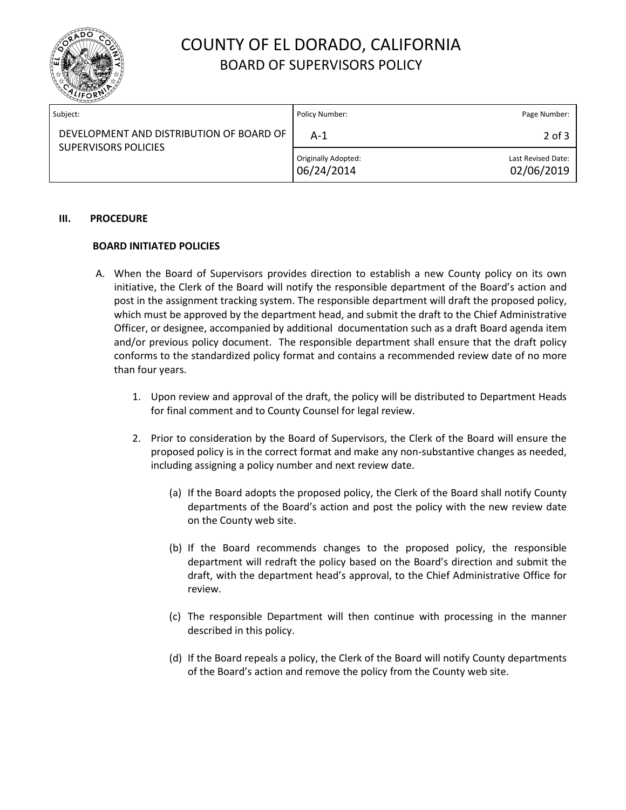

# COUNTY OF EL DORADO, CALIFORNIA BOARD OF SUPERVISORS POLICY

| Subject:                                                         | Policy Number:                    | Page Number:                     |
|------------------------------------------------------------------|-----------------------------------|----------------------------------|
| DEVELOPMENT AND DISTRIBUTION OF BOARD OF<br>SUPERVISORS POLICIES | A-1                               | $2$ of $3$                       |
|                                                                  | Originally Adopted:<br>06/24/2014 | Last Revised Date:<br>02/06/2019 |

#### **III. PROCEDURE**

### **BOARD INITIATED POLICIES**

- A. When the Board of Supervisors provides direction to establish a new County policy on its own initiative, the Clerk of the Board will notify the responsible department of the Board's action and post in the assignment tracking system. The responsible department will draft the proposed policy, which must be approved by the department head, and submit the draft to the Chief Administrative Officer, or designee, accompanied by additional documentation such as a draft Board agenda item and/or previous policy document. The responsible department shall ensure that the draft policy conforms to the standardized policy format and contains a recommended review date of no more than four years.
	- 1. Upon review and approval of the draft, the policy will be distributed to Department Heads for final comment and to County Counsel for legal review.
	- 2. Prior to consideration by the Board of Supervisors, the Clerk of the Board will ensure the proposed policy is in the correct format and make any non-substantive changes as needed, including assigning a policy number and next review date.
		- (a) If the Board adopts the proposed policy, the Clerk of the Board shall notify County departments of the Board's action and post the policy with the new review date on the County web site.
		- (b) If the Board recommends changes to the proposed policy, the responsible department will redraft the policy based on the Board's direction and submit the draft, with the department head's approval, to the Chief Administrative Office for review.
		- (c) The responsible Department will then continue with processing in the manner described in this policy.
		- (d) If the Board repeals a policy, the Clerk of the Board will notify County departments of the Board's action and remove the policy from the County web site.